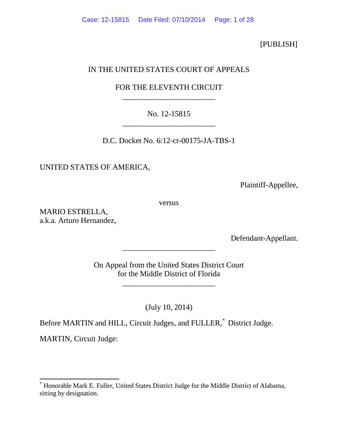[PUBLISH]

## IN THE UNITED STATES COURT OF APPEALS

# FOR THE ELEVENTH CIRCUIT \_\_\_\_\_\_\_\_\_\_\_\_\_\_\_\_\_\_\_\_\_\_\_\_

## No. 12-15815 \_\_\_\_\_\_\_\_\_\_\_\_\_\_\_\_\_\_\_\_\_\_\_\_

D.C. Docket No. 6:12-cr-00175-JA-TBS-1

UNITED STATES OF AMERICA,

Plaintiff-Appellee,

versus

MARIO ESTRELLA, a.k.a. Arturo Hernandez,

Defendant-Appellant.

On Appeal from the United States District Court for the Middle District of Florida

\_\_\_\_\_\_\_\_\_\_\_\_\_\_\_\_\_\_\_\_\_\_\_\_

\_\_\_\_\_\_\_\_\_\_\_\_\_\_\_\_\_\_\_\_\_\_\_\_

(July 10, 2014)

Before MARTIN and HILL, Circuit Judges, and FULLER,[\\*](#page-0-0) District Judge.

MARTIN, Circuit Judge:

<span id="page-0-0"></span>\* Honorable Mark E. Fuller, United States District Judge for the Middle District of Alabama, sitting by designation.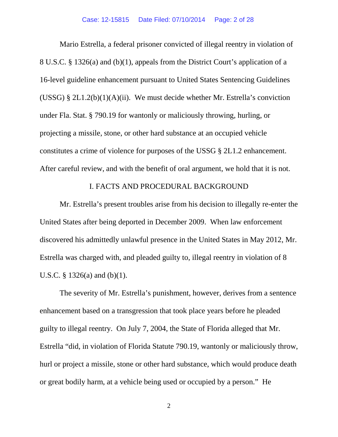Mario Estrella, a federal prisoner convicted of illegal reentry in violation of 8 U.S.C. § 1326(a) and (b)(1), appeals from the District Court's application of a 16-level guideline enhancement pursuant to United States Sentencing Guidelines (USSG) §  $2L1.2(b)(1)(A)(ii)$ . We must decide whether Mr. Estrella's conviction under Fla. Stat. § 790.19 for wantonly or maliciously throwing, hurling, or projecting a missile, stone, or other hard substance at an occupied vehicle constitutes a crime of violence for purposes of the USSG § 2L1.2 enhancement. After careful review, and with the benefit of oral argument, we hold that it is not.

### I. FACTS AND PROCEDURAL BACKGROUND

Mr. Estrella's present troubles arise from his decision to illegally re-enter the United States after being deported in December 2009. When law enforcement discovered his admittedly unlawful presence in the United States in May 2012, Mr. Estrella was charged with, and pleaded guilty to, illegal reentry in violation of 8 U.S.C. § 1326(a) and (b)(1).

The severity of Mr. Estrella's punishment, however, derives from a sentence enhancement based on a transgression that took place years before he pleaded guilty to illegal reentry. On July 7, 2004, the State of Florida alleged that Mr. Estrella "did, in violation of Florida Statute 790.19, wantonly or maliciously throw, hurl or project a missile, stone or other hard substance, which would produce death or great bodily harm, at a vehicle being used or occupied by a person." He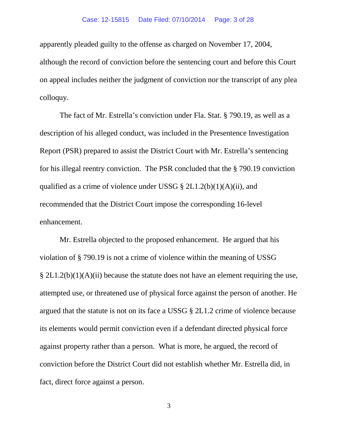#### Case: 12-15815 Date Filed: 07/10/2014 Page: 3 of 28

apparently pleaded guilty to the offense as charged on November 17, 2004, although the record of conviction before the sentencing court and before this Court on appeal includes neither the judgment of conviction nor the transcript of any plea colloquy.

The fact of Mr. Estrella's conviction under Fla. Stat. § 790.19, as well as a description of his alleged conduct, was included in the Presentence Investigation Report (PSR) prepared to assist the District Court with Mr. Estrella's sentencing for his illegal reentry conviction. The PSR concluded that the § 790.19 conviction qualified as a crime of violence under USSG  $\S 2L1.2(b)(1)(A)(ii)$ , and recommended that the District Court impose the corresponding 16-level enhancement.

Mr. Estrella objected to the proposed enhancement. He argued that his violation of § 790.19 is not a crime of violence within the meaning of USSG  $\S 2L1.2(b)(1)(A)(ii)$  because the statute does not have an element requiring the use, attempted use, or threatened use of physical force against the person of another. He argued that the statute is not on its face a USSG § 2L1.2 crime of violence because its elements would permit conviction even if a defendant directed physical force against property rather than a person. What is more, he argued, the record of conviction before the District Court did not establish whether Mr. Estrella did, in fact, direct force against a person.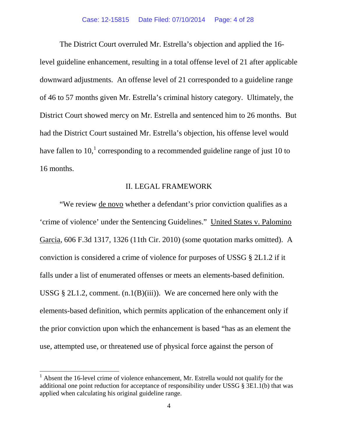The District Court overruled Mr. Estrella's objection and applied the 16 level guideline enhancement, resulting in a total offense level of 21 after applicable downward adjustments. An offense level of 21 corresponded to a guideline range of 46 to 57 months given Mr. Estrella's criminal history category. Ultimately, the District Court showed mercy on Mr. Estrella and sentenced him to 26 months. But had the District Court sustained Mr. Estrella's objection, his offense level would have fallen to  $10<sup>1</sup>$  $10<sup>1</sup>$  corresponding to a recommended guideline range of just 10 to 16 months.

### II. LEGAL FRAMEWORK

"We review de novo whether a defendant's prior conviction qualifies as a 'crime of violence' under the Sentencing Guidelines." United States v. Palomino Garcia, 606 F.3d 1317, 1326 (11th Cir. 2010) (some quotation marks omitted). A conviction is considered a crime of violence for purposes of USSG § 2L1.2 if it falls under a list of enumerated offenses or meets an elements-based definition. USSG  $\S 2L1.2$ , comment. (n.1(B)(iii)). We are concerned here only with the elements-based definition, which permits application of the enhancement only if the prior conviction upon which the enhancement is based "has as an element the use, attempted use, or threatened use of physical force against the person of

<span id="page-3-0"></span> $1$  Absent the 16-level crime of violence enhancement, Mr. Estrella would not qualify for the additional one point reduction for acceptance of responsibility under USSG § 3E1.1(b) that was applied when calculating his original guideline range.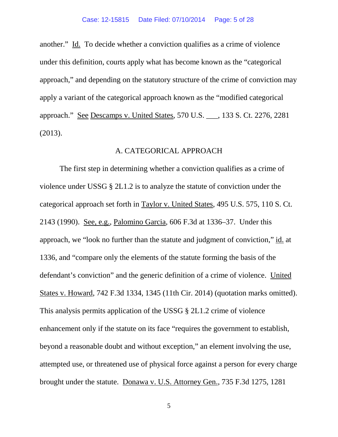another." Id. To decide whether a conviction qualifies as a crime of violence under this definition, courts apply what has become known as the "categorical approach," and depending on the statutory structure of the crime of conviction may apply a variant of the categorical approach known as the "modified categorical approach." See Descamps v. United States, 570 U.S. \_\_\_, 133 S. Ct. 2276, 2281 (2013).

### A. CATEGORICAL APPROACH

The first step in determining whether a conviction qualifies as a crime of violence under USSG § 2L1.2 is to analyze the statute of conviction under the categorical approach set forth in Taylor v. United States, 495 U.S. 575, 110 S. Ct. 2143 (1990). See, e.g., Palomino Garcia, 606 F.3d at 1336–37. Under this approach, we "look no further than the statute and judgment of conviction," id. at 1336, and "compare only the elements of the statute forming the basis of the defendant's conviction" and the generic definition of a crime of violence. United States v. Howard, 742 F.3d 1334, 1345 (11th Cir. 2014) (quotation marks omitted). This analysis permits application of the USSG § 2L1.2 crime of violence enhancement only if the statute on its face "requires the government to establish, beyond a reasonable doubt and without exception," an element involving the use, attempted use, or threatened use of physical force against a person for every charge brought under the statute. Donawa v. U.S. Attorney Gen., 735 F.3d 1275, 1281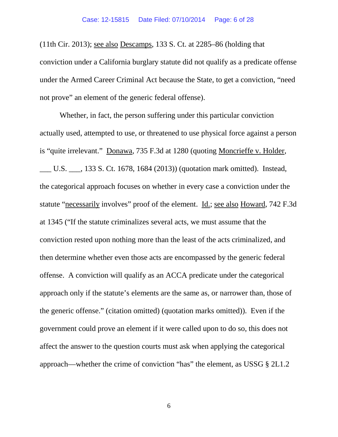(11th Cir. 2013); see also Descamps, 133 S. Ct. at 2285–86 (holding that conviction under a California burglary statute did not qualify as a predicate offense under the Armed Career Criminal Act because the State, to get a conviction, "need not prove" an element of the generic federal offense).

Whether, in fact, the person suffering under this particular conviction actually used, attempted to use, or threatened to use physical force against a person is "quite irrelevant." Donawa, 735 F.3d at 1280 (quoting Moncrieffe v. Holder, \_\_\_ U.S. \_\_\_, 133 S. Ct. 1678, 1684 (2013)) (quotation mark omitted). Instead, the categorical approach focuses on whether in every case a conviction under the statute "necessarily involves" proof of the element. Id.; see also Howard, 742 F.3d at 1345 ("If the statute criminalizes several acts, we must assume that the conviction rested upon nothing more than the least of the acts criminalized, and then determine whether even those acts are encompassed by the generic federal offense. A conviction will qualify as an ACCA predicate under the categorical approach only if the statute's elements are the same as, or narrower than, those of the generic offense." (citation omitted) (quotation marks omitted)). Even if the government could prove an element if it were called upon to do so, this does not affect the answer to the question courts must ask when applying the categorical approach—whether the crime of conviction "has" the element, as USSG § 2L1.2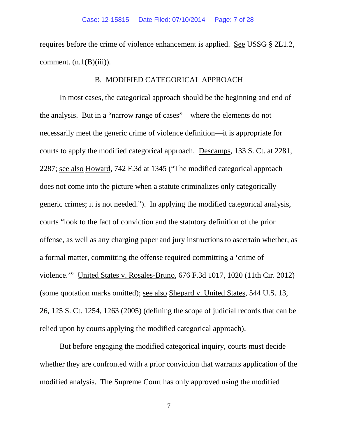requires before the crime of violence enhancement is applied. See USSG § 2L1.2, comment.  $(n.1(B)(iii))$ .

### B. MODIFIED CATEGORICAL APPROACH

In most cases, the categorical approach should be the beginning and end of the analysis. But in a "narrow range of cases"—where the elements do not necessarily meet the generic crime of violence definition—it is appropriate for courts to apply the modified categorical approach. Descamps, 133 S. Ct. at 2281, 2287; see also Howard, 742 F.3d at 1345 ("The modified categorical approach does not come into the picture when a statute criminalizes only categorically generic crimes; it is not needed."). In applying the modified categorical analysis, courts "look to the fact of conviction and the statutory definition of the prior offense, as well as any charging paper and jury instructions to ascertain whether, as a formal matter, committing the offense required committing a 'crime of violence.'" United States v. Rosales-Bruno, 676 F.3d 1017, 1020 (11th Cir. 2012) (some quotation marks omitted); see also Shepard v. United States, 544 U.S. 13, 26, 125 S. Ct. 1254, 1263 (2005) (defining the scope of judicial records that can be relied upon by courts applying the modified categorical approach).

But before engaging the modified categorical inquiry, courts must decide whether they are confronted with a prior conviction that warrants application of the modified analysis. The Supreme Court has only approved using the modified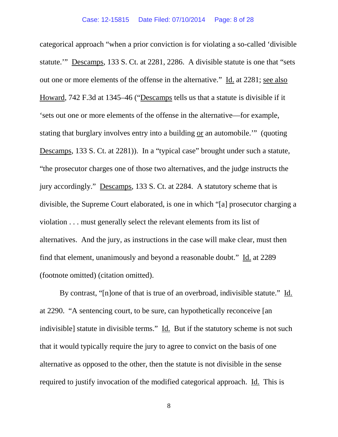categorical approach "when a prior conviction is for violating a so-called 'divisible statute.'" Descamps, 133 S. Ct. at 2281, 2286. A divisible statute is one that "sets out one or more elements of the offense in the alternative." Id. at 2281; see also Howard, 742 F.3d at 1345–46 ("Descamps tells us that a statute is divisible if it 'sets out one or more elements of the offense in the alternative—for example, stating that burglary involves entry into a building or an automobile.'" (quoting Descamps, 133 S. Ct. at 2281)). In a "typical case" brought under such a statute, "the prosecutor charges one of those two alternatives, and the judge instructs the jury accordingly." Descamps, 133 S. Ct. at 2284. A statutory scheme that is divisible, the Supreme Court elaborated, is one in which "[a] prosecutor charging a violation . . . must generally select the relevant elements from its list of alternatives. And the jury, as instructions in the case will make clear, must then find that element, unanimously and beyond a reasonable doubt." Id. at 2289 (footnote omitted) (citation omitted).

By contrast, "[n]one of that is true of an overbroad, indivisible statute." Id. at 2290. "A sentencing court, to be sure, can hypothetically reconceive [an indivisible] statute in divisible terms." Id. But if the statutory scheme is not such that it would typically require the jury to agree to convict on the basis of one alternative as opposed to the other, then the statute is not divisible in the sense required to justify invocation of the modified categorical approach. Id. This is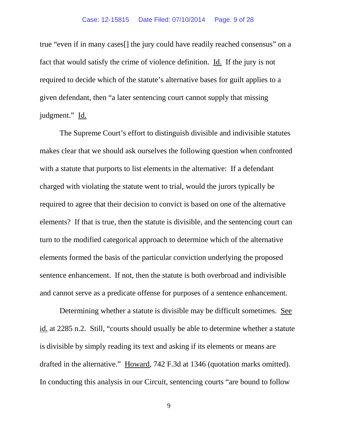true "even if in many cases[] the jury could have readily reached consensus" on a fact that would satisfy the crime of violence definition. Id. If the jury is not required to decide which of the statute's alternative bases for guilt applies to a given defendant, then "a later sentencing court cannot supply that missing judgment." Id.

The Supreme Court's effort to distinguish divisible and indivisible statutes makes clear that we should ask ourselves the following question when confronted with a statute that purports to list elements in the alternative: If a defendant charged with violating the statute went to trial, would the jurors typically be required to agree that their decision to convict is based on one of the alternative elements? If that is true, then the statute is divisible, and the sentencing court can turn to the modified categorical approach to determine which of the alternative elements formed the basis of the particular conviction underlying the proposed sentence enhancement. If not, then the statute is both overbroad and indivisible and cannot serve as a predicate offense for purposes of a sentence enhancement.

Determining whether a statute is divisible may be difficult sometimes. See id. at 2285 n.2. Still, "courts should usually be able to determine whether a statute is divisible by simply reading its text and asking if its elements or means are drafted in the alternative." Howard, 742 F.3d at 1346 (quotation marks omitted). In conducting this analysis in our Circuit, sentencing courts "are bound to follow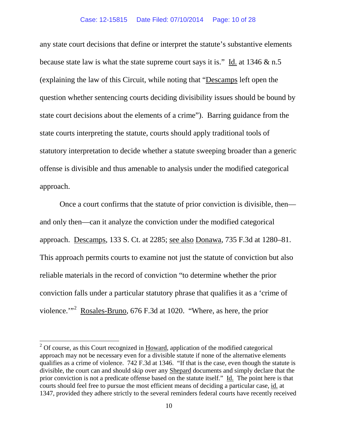any state court decisions that define or interpret the statute's substantive elements because state law is what the state supreme court says it is." Id. at  $1346 \& n.5$ (explaining the law of this Circuit, while noting that "Descamps left open the question whether sentencing courts deciding divisibility issues should be bound by state court decisions about the elements of a crime"). Barring guidance from the state courts interpreting the statute, courts should apply traditional tools of statutory interpretation to decide whether a statute sweeping broader than a generic offense is divisible and thus amenable to analysis under the modified categorical approach.

Once a court confirms that the statute of prior conviction is divisible, then and only then—can it analyze the conviction under the modified categorical approach. Descamps, 133 S. Ct. at 2285; see also Donawa, 735 F.3d at 1280–81. This approach permits courts to examine not just the statute of conviction but also reliable materials in the record of conviction "to determine whether the prior conviction falls under a particular statutory phrase that qualifies it as a 'crime of violence."<sup>[2](#page-9-0)</sup> Rosales-Bruno, 676 F.3d at 1020. "Where, as here, the prior

<span id="page-9-0"></span> $2^{\circ}$  Of course, as this Court recognized in Howard, application of the modified categorical approach may not be necessary even for a divisible statute if none of the alternative elements qualifies as a crime of violence. 742 F.3d at 1346. "If that is the case, even though the statute is divisible, the court can and should skip over any Shepard documents and simply declare that the prior conviction is not a predicate offense based on the statute itself." Id. The point here is that courts should feel free to pursue the most efficient means of deciding a particular case, id. at 1347, provided they adhere strictly to the several reminders federal courts have recently received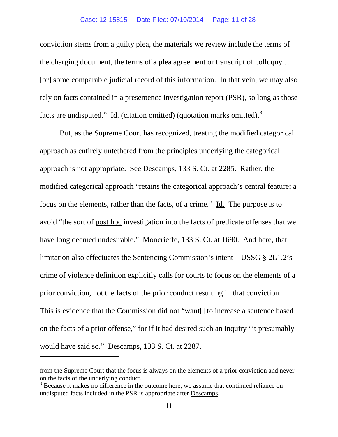#### Case: 12-15815 Date Filed: 07/10/2014 Page: 11 of 28

conviction stems from a guilty plea, the materials we review include the terms of the charging document, the terms of a plea agreement or transcript of colloquy . . . [or] some comparable judicial record of this information. In that vein, we may also rely on facts contained in a presentence investigation report (PSR), so long as those facts are undisputed."  $\underline{Id}$ . (citation omitted) (quotation marks omitted).<sup>[3](#page-10-0)</sup>

But, as the Supreme Court has recognized, treating the modified categorical approach as entirely untethered from the principles underlying the categorical approach is not appropriate. See Descamps, 133 S. Ct. at 2285. Rather, the modified categorical approach "retains the categorical approach's central feature: a focus on the elements, rather than the facts, of a crime." Id. The purpose is to avoid "the sort of post hoc investigation into the facts of predicate offenses that we have long deemed undesirable." Moncrieffe, 133 S. Ct. at 1690. And here, that limitation also effectuates the Sentencing Commission's intent—USSG § 2L1.2's crime of violence definition explicitly calls for courts to focus on the elements of a prior conviction, not the facts of the prior conduct resulting in that conviction. This is evidence that the Commission did not "want[] to increase a sentence based on the facts of a prior offense," for if it had desired such an inquiry "it presumably would have said so." Descamps, 133 S. Ct. at 2287.

 $\overline{\phantom{a}}$ 

from the Supreme Court that the focus is always on the elements of a prior conviction and never on the facts of the underlying conduct.

<span id="page-10-0"></span><sup>&</sup>lt;sup>3</sup> Because it makes no difference in the outcome here, we assume that continued reliance on undisputed facts included in the PSR is appropriate after Descamps.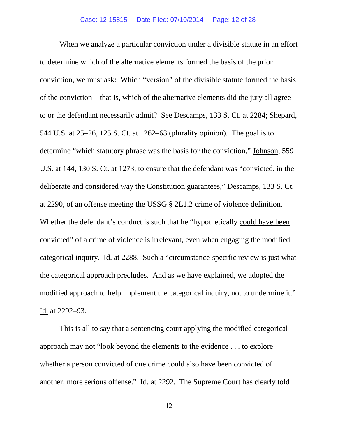When we analyze a particular conviction under a divisible statute in an effort to determine which of the alternative elements formed the basis of the prior conviction, we must ask: Which "version" of the divisible statute formed the basis of the conviction—that is, which of the alternative elements did the jury all agree to or the defendant necessarily admit? See Descamps, 133 S. Ct. at 2284; Shepard, 544 U.S. at 25–26, 125 S. Ct. at 1262–63 (plurality opinion). The goal is to determine "which statutory phrase was the basis for the conviction," Johnson, 559 U.S. at 144, 130 S. Ct. at 1273, to ensure that the defendant was "convicted, in the deliberate and considered way the Constitution guarantees," Descamps, 133 S. Ct. at 2290, of an offense meeting the USSG § 2L1.2 crime of violence definition. Whether the defendant's conduct is such that he "hypothetically could have been convicted" of a crime of violence is irrelevant, even when engaging the modified categorical inquiry. Id. at 2288. Such a "circumstance-specific review is just what the categorical approach precludes. And as we have explained, we adopted the modified approach to help implement the categorical inquiry, not to undermine it." Id. at 2292–93.

This is all to say that a sentencing court applying the modified categorical approach may not "look beyond the elements to the evidence . . . to explore whether a person convicted of one crime could also have been convicted of another, more serious offense." Id. at 2292. The Supreme Court has clearly told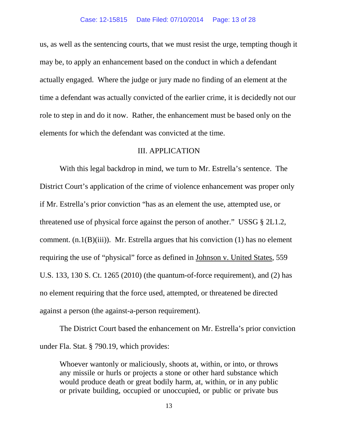us, as well as the sentencing courts, that we must resist the urge, tempting though it may be, to apply an enhancement based on the conduct in which a defendant actually engaged. Where the judge or jury made no finding of an element at the time a defendant was actually convicted of the earlier crime, it is decidedly not our role to step in and do it now. Rather, the enhancement must be based only on the elements for which the defendant was convicted at the time.

#### III. APPLICATION

With this legal backdrop in mind, we turn to Mr. Estrella's sentence. The District Court's application of the crime of violence enhancement was proper only if Mr. Estrella's prior conviction "has as an element the use, attempted use, or threatened use of physical force against the person of another." USSG § 2L1.2, comment.  $(n.1(B)(iii))$ . Mr. Estrella argues that his conviction  $(1)$  has no element requiring the use of "physical" force as defined in Johnson v. United States, 559 U.S. 133, 130 S. Ct. 1265 (2010) (the quantum-of-force requirement), and (2) has no element requiring that the force used, attempted, or threatened be directed against a person (the against-a-person requirement).

The District Court based the enhancement on Mr. Estrella's prior conviction under Fla. Stat. § 790.19, which provides:

Whoever wantonly or maliciously, shoots at, within, or into, or throws any missile or hurls or projects a stone or other hard substance which would produce death or great bodily harm, at, within, or in any public or private building, occupied or unoccupied, or public or private bus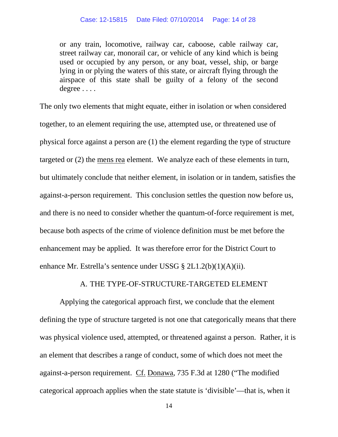or any train, locomotive, railway car, caboose, cable railway car, street railway car, monorail car, or vehicle of any kind which is being used or occupied by any person, or any boat, vessel, ship, or barge lying in or plying the waters of this state, or aircraft flying through the airspace of this state shall be guilty of a felony of the second degree . . . .

The only two elements that might equate, either in isolation or when considered together, to an element requiring the use, attempted use, or threatened use of physical force against a person are (1) the element regarding the type of structure targeted or (2) the mens rea element. We analyze each of these elements in turn, but ultimately conclude that neither element, in isolation or in tandem, satisfies the against-a-person requirement. This conclusion settles the question now before us, and there is no need to consider whether the quantum-of-force requirement is met, because both aspects of the crime of violence definition must be met before the enhancement may be applied. It was therefore error for the District Court to enhance Mr. Estrella's sentence under USSG § 2L1.2(b)(1)(A)(ii).

### A. THE TYPE-OF-STRUCTURE-TARGETED ELEMENT

Applying the categorical approach first, we conclude that the element defining the type of structure targeted is not one that categorically means that there was physical violence used, attempted, or threatened against a person. Rather, it is an element that describes a range of conduct, some of which does not meet the against-a-person requirement. Cf. Donawa, 735 F.3d at 1280 ("The modified categorical approach applies when the state statute is 'divisible'—that is, when it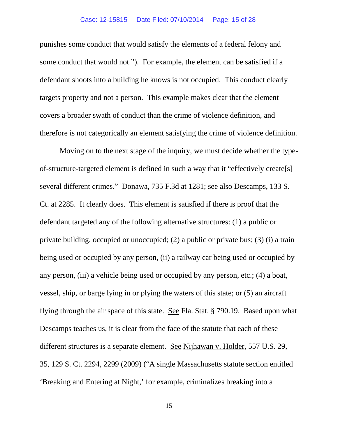punishes some conduct that would satisfy the elements of a federal felony and some conduct that would not."). For example, the element can be satisfied if a defendant shoots into a building he knows is not occupied. This conduct clearly targets property and not a person. This example makes clear that the element covers a broader swath of conduct than the crime of violence definition, and therefore is not categorically an element satisfying the crime of violence definition.

Moving on to the next stage of the inquiry, we must decide whether the typeof-structure-targeted element is defined in such a way that it "effectively create[s] several different crimes." Donawa, 735 F.3d at 1281; see also Descamps, 133 S. Ct. at 2285. It clearly does. This element is satisfied if there is proof that the defendant targeted any of the following alternative structures: (1) a public or private building, occupied or unoccupied; (2) a public or private bus; (3) (i) a train being used or occupied by any person, (ii) a railway car being used or occupied by any person, (iii) a vehicle being used or occupied by any person, etc.; (4) a boat, vessel, ship, or barge lying in or plying the waters of this state; or (5) an aircraft flying through the air space of this state. See Fla. Stat. § 790.19. Based upon what Descamps teaches us, it is clear from the face of the statute that each of these different structures is a separate element. See Nijhawan v. Holder, 557 U.S. 29, 35, 129 S. Ct. 2294, 2299 (2009) ("A single Massachusetts statute section entitled 'Breaking and Entering at Night,' for example, criminalizes breaking into a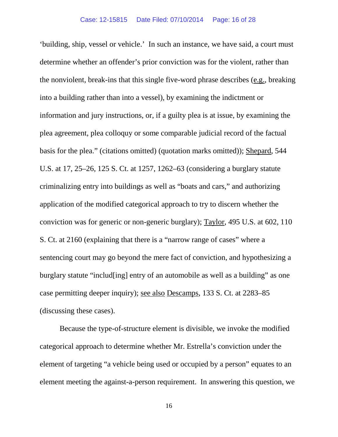'building, ship, vessel or vehicle.' In such an instance, we have said, a court must determine whether an offender's prior conviction was for the violent, rather than the nonviolent, break-ins that this single five-word phrase describes (e.g., breaking into a building rather than into a vessel), by examining the indictment or information and jury instructions, or, if a guilty plea is at issue, by examining the plea agreement, plea colloquy or some comparable judicial record of the factual basis for the plea." (citations omitted) (quotation marks omitted)); Shepard, 544 U.S. at 17, 25–26, 125 S. Ct. at 1257, 1262–63 (considering a burglary statute criminalizing entry into buildings as well as "boats and cars," and authorizing application of the modified categorical approach to try to discern whether the conviction was for generic or non-generic burglary); Taylor, 495 U.S. at 602, 110 S. Ct. at 2160 (explaining that there is a "narrow range of cases" where a sentencing court may go beyond the mere fact of conviction, and hypothesizing a burglary statute "includ[ing] entry of an automobile as well as a building" as one case permitting deeper inquiry); see also Descamps, 133 S. Ct. at 2283–85 (discussing these cases).

Because the type-of-structure element is divisible, we invoke the modified categorical approach to determine whether Mr. Estrella's conviction under the element of targeting "a vehicle being used or occupied by a person" equates to an element meeting the against-a-person requirement. In answering this question, we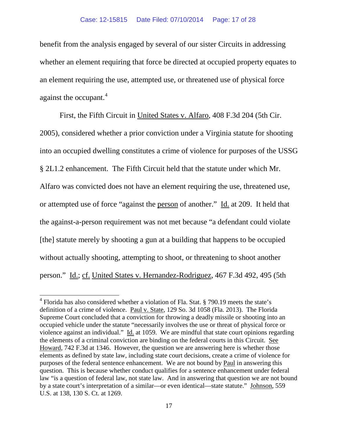benefit from the analysis engaged by several of our sister Circuits in addressing whether an element requiring that force be directed at occupied property equates to an element requiring the use, attempted use, or threatened use of physical force against the occupant.<sup>[4](#page-16-0)</sup>

First, the Fifth Circuit in United States v. Alfaro, 408 F.3d 204 (5th Cir. 2005), considered whether a prior conviction under a Virginia statute for shooting into an occupied dwelling constitutes a crime of violence for purposes of the USSG § 2L1.2 enhancement. The Fifth Circuit held that the statute under which Mr. Alfaro was convicted does not have an element requiring the use, threatened use, or attempted use of force "against the person of another." Id. at 209. It held that the against-a-person requirement was not met because "a defendant could violate [the] statute merely by shooting a gun at a building that happens to be occupied without actually shooting, attempting to shoot, or threatening to shoot another person." Id.; cf. United States v. Hernandez-Rodriguez, 467 F.3d 492, 495 (5th

<span id="page-16-0"></span><sup>4</sup> Florida has also considered whether a violation of Fla. Stat. § 790.19 meets the state's definition of a crime of violence. Paul v. State, 129 So. 3d 1058 (Fla. 2013). The Florida Supreme Court concluded that a conviction for throwing a deadly missile or shooting into an occupied vehicle under the statute "necessarily involves the use or threat of physical force or violence against an individual." Id. at 1059. We are mindful that state court opinions regarding the elements of a criminal conviction are binding on the federal courts in this Circuit. See Howard, 742 F.3d at 1346. However, the question we are answering here is whether those elements as defined by state law, including state court decisions, create a crime of violence for purposes of the federal sentence enhancement. We are not bound by Paul in answering this question. This is because whether conduct qualifies for a sentence enhancement under federal law "is a question of federal law, not state law. And in answering that question we are not bound by a state court's interpretation of a similar—or even identical—state statute." Johnson, 559 U.S. at 138, 130 S. Ct. at 1269.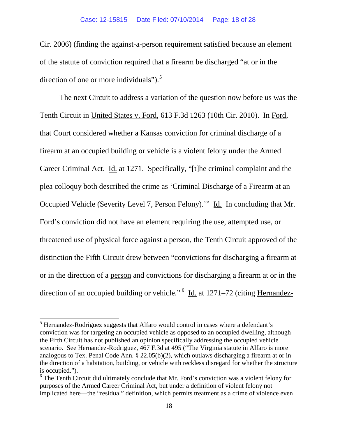Cir. 2006) (finding the against-a-person requirement satisfied because an element of the statute of conviction required that a firearm be discharged "at or in the direction of one or more individuals" $)$ .<sup>[5](#page-17-0)</sup>

The next Circuit to address a variation of the question now before us was the Tenth Circuit in United States v. Ford, 613 F.3d 1263 (10th Cir. 2010). In Ford, that Court considered whether a Kansas conviction for criminal discharge of a firearm at an occupied building or vehicle is a violent felony under the Armed Career Criminal Act. Id. at 1271. Specifically, "[t]he criminal complaint and the plea colloquy both described the crime as 'Criminal Discharge of a Firearm at an Occupied Vehicle (Severity Level 7, Person Felony).'" Id. In concluding that Mr. Ford's conviction did not have an element requiring the use, attempted use, or threatened use of physical force against a person, the Tenth Circuit approved of the distinction the Fifth Circuit drew between "convictions for discharging a firearm at or in the direction of a person and convictions for discharging a firearm at or in the direction of an occupied building or vehicle." <sup>[6](#page-17-1)</sup> Id. at 1271–72 (citing Hernandez-

<span id="page-17-0"></span><sup>&</sup>lt;sup>5</sup> Hernandez-Rodriguez suggests that <u>Alfaro</u> would control in cases where a defendant's conviction was for targeting an occupied vehicle as opposed to an occupied dwelling, although the Fifth Circuit has not published an opinion specifically addressing the occupied vehicle scenario. See Hernandez-Rodriguez, 467 F.3d at 495 ("The Virginia statute in Alfaro is more analogous to Tex. Penal Code Ann. § 22.05(b)(2), which outlaws discharging a firearm at or in the direction of a habitation, building, or vehicle with reckless disregard for whether the structure is occupied.").

<span id="page-17-1"></span> $6$  The Tenth Circuit did ultimately conclude that Mr. Ford's conviction was a violent felony for purposes of the Armed Career Criminal Act, but under a definition of violent felony not implicated here—the "residual" definition, which permits treatment as a crime of violence even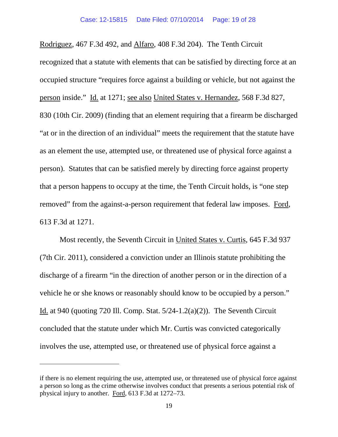Rodriguez, 467 F.3d 492, and Alfaro, 408 F.3d 204). The Tenth Circuit recognized that a statute with elements that can be satisfied by directing force at an occupied structure "requires force against a building or vehicle, but not against the person inside." Id. at 1271; see also United States v. Hernandez, 568 F.3d 827, 830 (10th Cir. 2009) (finding that an element requiring that a firearm be discharged "at or in the direction of an individual" meets the requirement that the statute have as an element the use, attempted use, or threatened use of physical force against a person). Statutes that can be satisfied merely by directing force against property that a person happens to occupy at the time, the Tenth Circuit holds, is "one step removed" from the against-a-person requirement that federal law imposes. Ford, 613 F.3d at 1271.

Most recently, the Seventh Circuit in United States v. Curtis, 645 F.3d 937 (7th Cir. 2011), considered a conviction under an Illinois statute prohibiting the discharge of a firearm "in the direction of another person or in the direction of a vehicle he or she knows or reasonably should know to be occupied by a person." Id. at 940 (quoting 720 Ill. Comp. Stat. 5/24-1.2(a)(2)). The Seventh Circuit concluded that the statute under which Mr. Curtis was convicted categorically involves the use, attempted use, or threatened use of physical force against a

 $\overline{\phantom{a}}$ 

if there is no element requiring the use, attempted use, or threatened use of physical force against a person so long as the crime otherwise involves conduct that presents a serious potential risk of physical injury to another. Ford, 613 F.3d at 1272–73.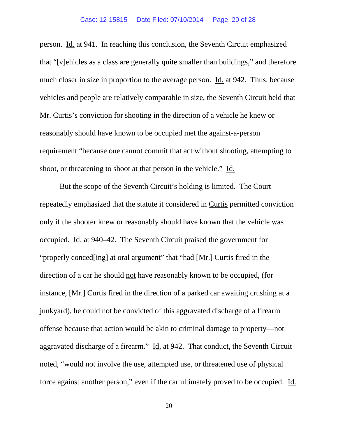#### Case: 12-15815 Date Filed: 07/10/2014 Page: 20 of 28

person. Id. at 941. In reaching this conclusion, the Seventh Circuit emphasized that "[v]ehicles as a class are generally quite smaller than buildings," and therefore much closer in size in proportion to the average person. Id. at 942. Thus, because vehicles and people are relatively comparable in size, the Seventh Circuit held that Mr. Curtis's conviction for shooting in the direction of a vehicle he knew or reasonably should have known to be occupied met the against-a-person requirement "because one cannot commit that act without shooting, attempting to shoot, or threatening to shoot at that person in the vehicle." Id.

But the scope of the Seventh Circuit's holding is limited. The Court repeatedly emphasized that the statute it considered in Curtis permitted conviction only if the shooter knew or reasonably should have known that the vehicle was occupied. Id. at 940–42. The Seventh Circuit praised the government for "properly conced[ing] at oral argument" that "had [Mr.] Curtis fired in the direction of a car he should not have reasonably known to be occupied, (for instance, [Mr.] Curtis fired in the direction of a parked car awaiting crushing at a junkyard), he could not be convicted of this aggravated discharge of a firearm offense because that action would be akin to criminal damage to property—not aggravated discharge of a firearm." Id. at 942. That conduct, the Seventh Circuit noted, "would not involve the use, attempted use, or threatened use of physical force against another person," even if the car ultimately proved to be occupied. Id.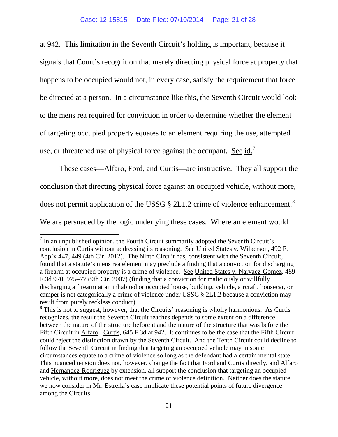at 942. This limitation in the Seventh Circuit's holding is important, because it signals that Court's recognition that merely directing physical force at property that happens to be occupied would not, in every case, satisfy the requirement that force be directed at a person. In a circumstance like this, the Seventh Circuit would look to the mens rea required for conviction in order to determine whether the element of targeting occupied property equates to an element requiring the use, attempted use, or threatened use of physical force against the occupant. See id.<sup>[7](#page-20-0)</sup>

These cases—Alfaro, Ford, and Curtis—are instructive. They all support the conclusion that directing physical force against an occupied vehicle, without more, does not permit application of the USSG  $\S$  2L1.2 crime of violence enhancement.<sup>[8](#page-20-1)</sup> We are persuaded by the logic underlying these cases. Where an element would

<span id="page-20-0"></span> $<sup>7</sup>$  In an unpublished opinion, the Fourth Circuit summarily adopted the Seventh Circuit's</sup> conclusion in Curtis without addressing its reasoning. See United States v. Wilkerson, 492 F. App'x 447, 449 (4th Cir. 2012). The Ninth Circuit has, consistent with the Seventh Circuit, found that a statute's mens rea element may preclude a finding that a conviction for discharging a firearm at occupied property is a crime of violence. See United States v. Narvaez-Gomez, 489 F.3d 970, 975–77 (9th Cir. 2007) (finding that a conviction for maliciously or willfully discharging a firearm at an inhabited or occupied house, building, vehicle, aircraft, housecar, or camper is not categorically a crime of violence under USSG § 2L1.2 because a conviction may result from purely reckless conduct).

<span id="page-20-1"></span> $8$  This is not to suggest, however, that the Circuits' reasoning is wholly harmonious. As Curtis recognizes, the result the Seventh Circuit reaches depends to some extent on a difference between the nature of the structure before it and the nature of the structure that was before the Fifth Circuit in Alfaro. Curtis, 645 F.3d at 942. It continues to be the case that the Fifth Circuit could reject the distinction drawn by the Seventh Circuit. And the Tenth Circuit could decline to follow the Seventh Circuit in finding that targeting an occupied vehicle may in some circumstances equate to a crime of violence so long as the defendant had a certain mental state. This nuanced tension does not, however, change the fact that Ford and Curtis directly, and Alfaro and Hernandez-Rodriguez by extension, all support the conclusion that targeting an occupied vehicle, without more, does not meet the crime of violence definition. Neither does the statute we now consider in Mr. Estrella's case implicate these potential points of future divergence among the Circuits.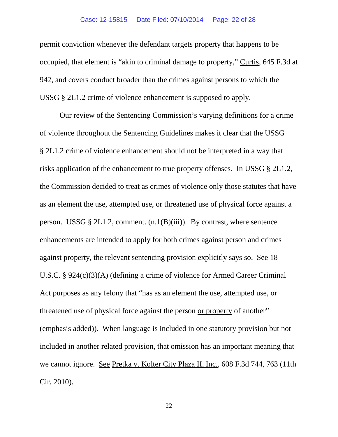#### Case: 12-15815 Date Filed: 07/10/2014 Page: 22 of 28

permit conviction whenever the defendant targets property that happens to be occupied, that element is "akin to criminal damage to property," Curtis, 645 F.3d at 942, and covers conduct broader than the crimes against persons to which the USSG § 2L1.2 crime of violence enhancement is supposed to apply.

Our review of the Sentencing Commission's varying definitions for a crime of violence throughout the Sentencing Guidelines makes it clear that the USSG § 2L1.2 crime of violence enhancement should not be interpreted in a way that risks application of the enhancement to true property offenses. In USSG § 2L1.2, the Commission decided to treat as crimes of violence only those statutes that have as an element the use, attempted use, or threatened use of physical force against a person. USSG  $\S 2L1.2$ , comment.  $(n.1(B)(iii))$ . By contrast, where sentence enhancements are intended to apply for both crimes against person and crimes against property, the relevant sentencing provision explicitly says so. See 18 U.S.C. § 924(c)(3)(A) (defining a crime of violence for Armed Career Criminal Act purposes as any felony that "has as an element the use, attempted use, or threatened use of physical force against the person or property of another" (emphasis added)). When language is included in one statutory provision but not included in another related provision, that omission has an important meaning that we cannot ignore. See Pretka v. Kolter City Plaza II, Inc., 608 F.3d 744, 763 (11th Cir. 2010).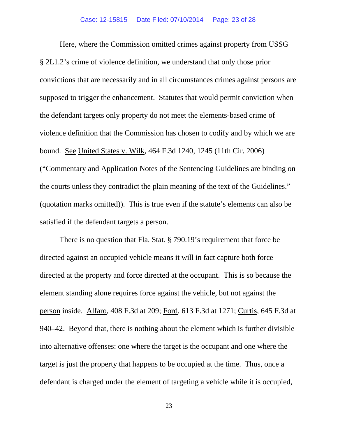Here, where the Commission omitted crimes against property from USSG § 2L1.2's crime of violence definition, we understand that only those prior convictions that are necessarily and in all circumstances crimes against persons are supposed to trigger the enhancement. Statutes that would permit conviction when the defendant targets only property do not meet the elements-based crime of violence definition that the Commission has chosen to codify and by which we are bound. See United States v. Wilk, 464 F.3d 1240, 1245 (11th Cir. 2006) ("Commentary and Application Notes of the Sentencing Guidelines are binding on the courts unless they contradict the plain meaning of the text of the Guidelines." (quotation marks omitted)). This is true even if the statute's elements can also be satisfied if the defendant targets a person.

There is no question that Fla. Stat. § 790.19's requirement that force be directed against an occupied vehicle means it will in fact capture both force directed at the property and force directed at the occupant. This is so because the element standing alone requires force against the vehicle, but not against the person inside. Alfaro, 408 F.3d at 209; Ford, 613 F.3d at 1271; Curtis, 645 F.3d at 940–42. Beyond that, there is nothing about the element which is further divisible into alternative offenses: one where the target is the occupant and one where the target is just the property that happens to be occupied at the time. Thus, once a defendant is charged under the element of targeting a vehicle while it is occupied,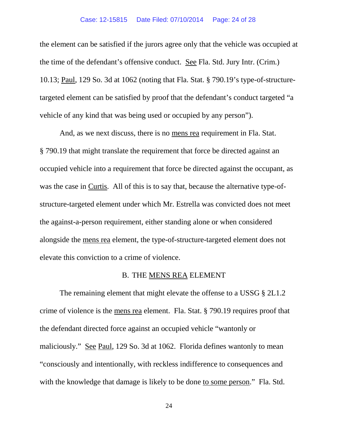#### Case: 12-15815 Date Filed: 07/10/2014 Page: 24 of 28

the element can be satisfied if the jurors agree only that the vehicle was occupied at the time of the defendant's offensive conduct. See Fla. Std. Jury Intr. (Crim.) 10.13; Paul, 129 So. 3d at 1062 (noting that Fla. Stat. § 790.19's type-of-structuretargeted element can be satisfied by proof that the defendant's conduct targeted "a vehicle of any kind that was being used or occupied by any person").

And, as we next discuss, there is no mens rea requirement in Fla. Stat. § 790.19 that might translate the requirement that force be directed against an occupied vehicle into a requirement that force be directed against the occupant, as was the case in Curtis. All of this is to say that, because the alternative type-ofstructure-targeted element under which Mr. Estrella was convicted does not meet the against-a-person requirement, either standing alone or when considered alongside the mens rea element, the type-of-structure-targeted element does not elevate this conviction to a crime of violence.

#### B. THE MENS REA ELEMENT

The remaining element that might elevate the offense to a USSG § 2L1.2 crime of violence is the mens rea element. Fla. Stat. § 790.19 requires proof that the defendant directed force against an occupied vehicle "wantonly or maliciously." See Paul, 129 So. 3d at 1062. Florida defines wantonly to mean "consciously and intentionally, with reckless indifference to consequences and with the knowledge that damage is likely to be done to some person." Fla. Std.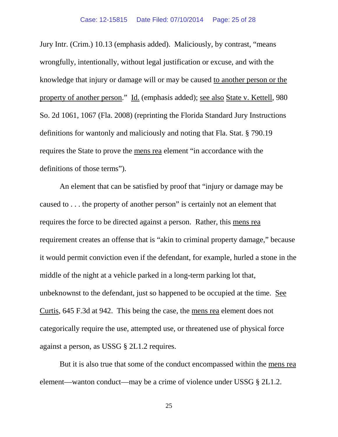Jury Intr. (Crim.) 10.13 (emphasis added). Maliciously, by contrast, "means wrongfully, intentionally, without legal justification or excuse, and with the knowledge that injury or damage will or may be caused to another person or the property of another person." Id. (emphasis added); see also State v. Kettell, 980 So. 2d 1061, 1067 (Fla. 2008) (reprinting the Florida Standard Jury Instructions definitions for wantonly and maliciously and noting that Fla. Stat. § 790.19 requires the State to prove the mens rea element "in accordance with the definitions of those terms").

An element that can be satisfied by proof that "injury or damage may be caused to . . . the property of another person" is certainly not an element that requires the force to be directed against a person. Rather, this mens rea requirement creates an offense that is "akin to criminal property damage," because it would permit conviction even if the defendant, for example, hurled a stone in the middle of the night at a vehicle parked in a long-term parking lot that, unbeknownst to the defendant, just so happened to be occupied at the time. See Curtis, 645 F.3d at 942. This being the case, the mens rea element does not categorically require the use, attempted use, or threatened use of physical force against a person, as USSG § 2L1.2 requires.

But it is also true that some of the conduct encompassed within the mens rea element—wanton conduct—may be a crime of violence under USSG § 2L1.2.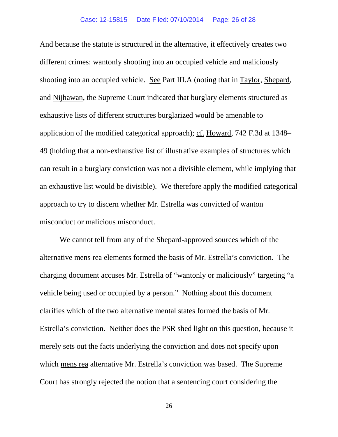And because the statute is structured in the alternative, it effectively creates two different crimes: wantonly shooting into an occupied vehicle and maliciously shooting into an occupied vehicle. See Part III.A (noting that in Taylor, Shepard, and Nijhawan, the Supreme Court indicated that burglary elements structured as exhaustive lists of different structures burglarized would be amenable to application of the modified categorical approach); cf. Howard, 742 F.3d at 1348– 49 (holding that a non-exhaustive list of illustrative examples of structures which can result in a burglary conviction was not a divisible element, while implying that an exhaustive list would be divisible). We therefore apply the modified categorical approach to try to discern whether Mr. Estrella was convicted of wanton misconduct or malicious misconduct.

We cannot tell from any of the Shepard-approved sources which of the alternative mens rea elements formed the basis of Mr. Estrella's conviction. The charging document accuses Mr. Estrella of "wantonly or maliciously" targeting "a vehicle being used or occupied by a person." Nothing about this document clarifies which of the two alternative mental states formed the basis of Mr. Estrella's conviction. Neither does the PSR shed light on this question, because it merely sets out the facts underlying the conviction and does not specify upon which mens rea alternative Mr. Estrella's conviction was based. The Supreme Court has strongly rejected the notion that a sentencing court considering the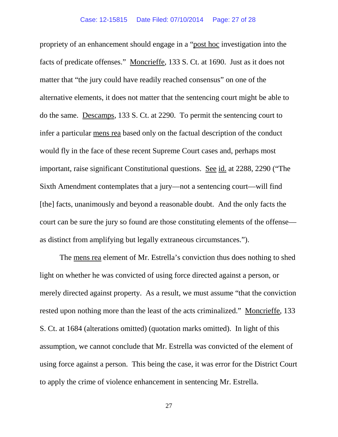propriety of an enhancement should engage in a "post hoc investigation into the facts of predicate offenses." Moncrieffe, 133 S. Ct. at 1690. Just as it does not matter that "the jury could have readily reached consensus" on one of the alternative elements, it does not matter that the sentencing court might be able to do the same. Descamps, 133 S. Ct. at 2290. To permit the sentencing court to infer a particular mens rea based only on the factual description of the conduct would fly in the face of these recent Supreme Court cases and, perhaps most important, raise significant Constitutional questions. See id. at 2288, 2290 ("The Sixth Amendment contemplates that a jury—not a sentencing court—will find [the] facts, unanimously and beyond a reasonable doubt. And the only facts the court can be sure the jury so found are those constituting elements of the offense as distinct from amplifying but legally extraneous circumstances.").

The mens rea element of Mr. Estrella's conviction thus does nothing to shed light on whether he was convicted of using force directed against a person, or merely directed against property. As a result, we must assume "that the conviction rested upon nothing more than the least of the acts criminalized." Moncrieffe, 133 S. Ct. at 1684 (alterations omitted) (quotation marks omitted). In light of this assumption, we cannot conclude that Mr. Estrella was convicted of the element of using force against a person. This being the case, it was error for the District Court to apply the crime of violence enhancement in sentencing Mr. Estrella.